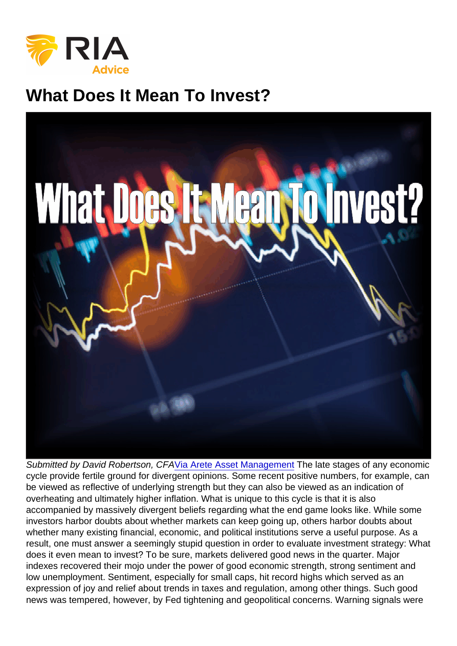## What Does It Mean To Invest?

Submitted by David Robertson, CF[AVia Arete Asset Management](http://www.areteam.com/blog/arete-market-overview-q218-what-does-it-mean-to-invest) The late stages of any economic cycle provide fertile ground for divergent opinions. Some recent positive numbers, for example, can be viewed as reflective of underlying strength but they can also be viewed as an indication of overheating and ultimately higher inflation. What is unique to this cycle is that it is also accompanied by massively divergent beliefs regarding what the end game looks like. While some investors harbor doubts about whether markets can keep going up, others harbor doubts about whether many existing financial, economic, and political institutions serve a useful purpose. As a result, one must answer a seemingly stupid question in order to evaluate investment strategy: What does it even mean to invest? To be sure, markets delivered good news in the quarter. Major indexes recovered their mojo under the power of good economic strength, strong sentiment and low unemployment. Sentiment, especially for small caps, hit record highs which served as an expression of joy and relief about trends in taxes and regulation, among other things. Such good news was tempered, however, by Fed tightening and geopolitical concerns. Warning signals were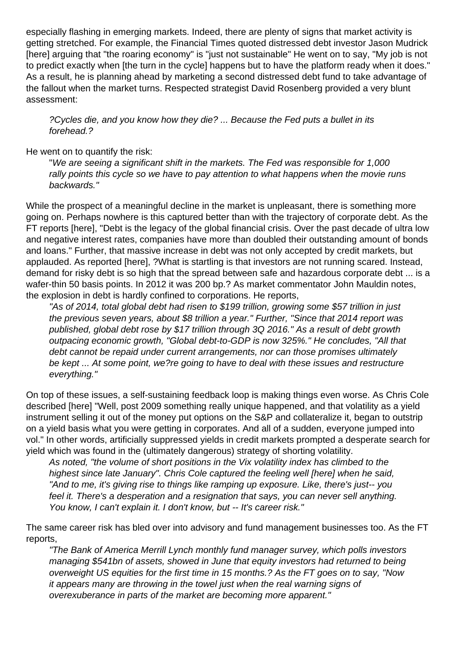especially flashing in emerging markets. Indeed, there are plenty of signs that market activity is getting stretched. For example, the Financial Times quoted distressed debt investor Jason Mudrick [here] arguing that "the roaring economy" is "just not sustainable" He went on to say, "My job is not to predict exactly when [the turn in the cycle] happens but to have the platform ready when it does." As a result, he is planning ahead by marketing a second distressed debt fund to take advantage of the fallout when the market turns. Respected strategist David Rosenberg provided a very blunt assessment:

?Cycles die, and you know how they die? ... Because the Fed puts a bullet in its forehead.?

He went on to quantify the risk:

"We are seeing a significant shift in the markets. The Fed was responsible for 1,000 rally points this cycle so we have to pay attention to what happens when the movie runs backwards."

While the prospect of a meaningful decline in the market is unpleasant, there is something more going on. Perhaps nowhere is this captured better than with the trajectory of corporate debt. As the FT reports [here], "Debt is the legacy of the global financial crisis. Over the past decade of ultra low and negative interest rates, companies have more than doubled their outstanding amount of bonds and loans." Further, that massive increase in debt was not only accepted by credit markets, but applauded. As reported [here], ?What is startling is that investors are not running scared. Instead, demand for risky debt is so high that the spread between safe and hazardous corporate debt ... is a wafer-thin 50 basis points. In 2012 it was 200 bp.? As market commentator John Mauldin notes, the explosion in debt is hardly confined to corporations. He reports,

"As of 2014, total global debt had risen to \$199 trillion, growing some \$57 trillion in just the previous seven years, about \$8 trillion a year." Further, "Since that 2014 report was published, global debt rose by \$17 trillion through 3Q 2016." As a result of debt growth outpacing economic growth, "Global debt-to-GDP is now 325%." He concludes, "All that debt cannot be repaid under current arrangements, nor can those promises ultimately be kept ... At some point, we?re going to have to deal with these issues and restructure everything."

On top of these issues, a self-sustaining feedback loop is making things even worse. As Chris Cole described [here] "Well, post 2009 something really unique happened, and that volatility as a yield instrument selling it out of the money put options on the S&P and collateralize it, began to outstrip on a yield basis what you were getting in corporates. And all of a sudden, everyone jumped into vol." In other words, artificially suppressed yields in credit markets prompted a desperate search for yield which was found in the (ultimately dangerous) strategy of shorting volatility.

As noted, "the volume of short positions in the Vix volatility index has climbed to the highest since late January". Chris Cole captured the feeling well [here] when he said, "And to me, it's giving rise to things like ramping up exposure. Like, there's just-- you feel it. There's a desperation and a resignation that says, you can never sell anything. You know, I can't explain it. I don't know, but -- It's career risk."

The same career risk has bled over into advisory and fund management businesses too. As the FT reports,

"The Bank of America Merrill Lynch monthly fund manager survey, which polls investors managing \$541bn of assets, showed in June that equity investors had returned to being overweight US equities for the first time in 15 months.? As the FT goes on to say, "Now it appears many are throwing in the towel just when the real warning signs of overexuberance in parts of the market are becoming more apparent."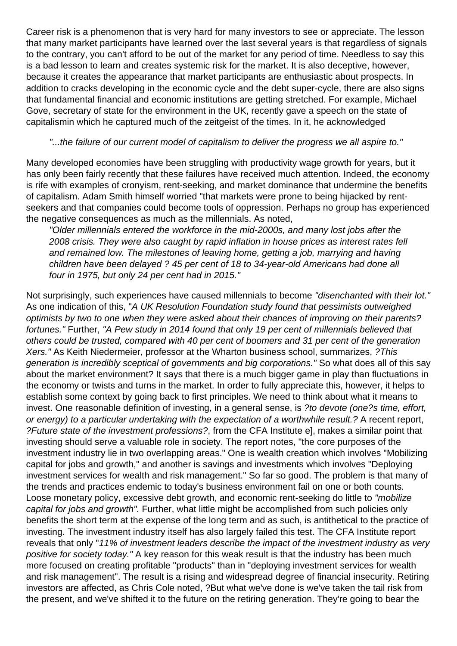Career risk is a phenomenon that is very hard for many investors to see or appreciate. The lesson that many market participants have learned over the last several years is that regardless of signals to the contrary, you can't afford to be out of the market for any period of time. Needless to say this is a bad lesson to learn and creates systemic risk for the market. It is also deceptive, however, because it creates the appearance that market participants are enthusiastic about prospects. In addition to cracks developing in the economic cycle and the debt super-cycle, there are also signs that fundamental financial and economic institutions are getting stretched. For example, Michael Gove, secretary of state for the environment in the UK, recently gave a speech on the state of capitalismin which he captured much of the zeitgeist of the times. In it, he acknowledged

## "...the failure of our current model of capitalism to deliver the progress we all aspire to."

Many developed economies have been struggling with productivity wage growth for years, but it has only been fairly recently that these failures have received much attention. Indeed, the economy is rife with examples of cronyism, rent-seeking, and market dominance that undermine the benefits of capitalism. Adam Smith himself worried "that markets were prone to being hijacked by rentseekers and that companies could become tools of oppression. Perhaps no group has experienced the negative consequences as much as the millennials. As noted,

"Older millennials entered the workforce in the mid-2000s, and many lost jobs after the 2008 crisis. They were also caught by rapid inflation in house prices as interest rates fell and remained low. The milestones of leaving home, getting a job, marrying and having children have been delayed ? 45 per cent of 18 to 34-year-old Americans had done all four in 1975, but only 24 per cent had in 2015."

Not surprisingly, such experiences have caused millennials to become "disenchanted with their lot." As one indication of this, "A UK Resolution Foundation study found that pessimists outweighed optimists by two to one when they were asked about their chances of improving on their parents? fortunes." Further, "A Pew study in 2014 found that only 19 per cent of millennials believed that others could be trusted, compared with 40 per cent of boomers and 31 per cent of the generation Xers." As Keith Niedermeier, professor at the Wharton business school, summarizes, ?This generation is incredibly sceptical of governments and big corporations." So what does all of this say about the market environment? It says that there is a much bigger game in play than fluctuations in the economy or twists and turns in the market. In order to fully appreciate this, however, it helps to establish some context by going back to first principles. We need to think about what it means to invest. One reasonable definition of investing, in a general sense, is ?to devote (one?s time, effort, or energy) to a particular undertaking with the expectation of a worthwhile result.? A recent report, ?Future state of the investment professions?, from the CFA Institute e], makes a similar point that investing should serve a valuable role in society. The report notes, "the core purposes of the investment industry lie in two overlapping areas." One is wealth creation which involves "Mobilizing capital for jobs and growth," and another is savings and investments which involves "Deploying investment services for wealth and risk management." So far so good. The problem is that many of the trends and practices endemic to today's business environment fail on one or both counts. Loose monetary policy, excessive debt growth, and economic rent-seeking do little to "mobilize capital for jobs and growth". Further, what little might be accomplished from such policies only benefits the short term at the expense of the long term and as such, is antithetical to the practice of investing. The investment industry itself has also largely failed this test. The CFA Institute report reveals that only "11% of investment leaders describe the impact of the investment industry as very positive for society today." A key reason for this weak result is that the industry has been much more focused on creating profitable "products" than in "deploying investment services for wealth and risk management". The result is a rising and widespread degree of financial insecurity. Retiring investors are affected, as Chris Cole noted, ?But what we've done is we've taken the tail risk from the present, and we've shifted it to the future on the retiring generation. They're going to bear the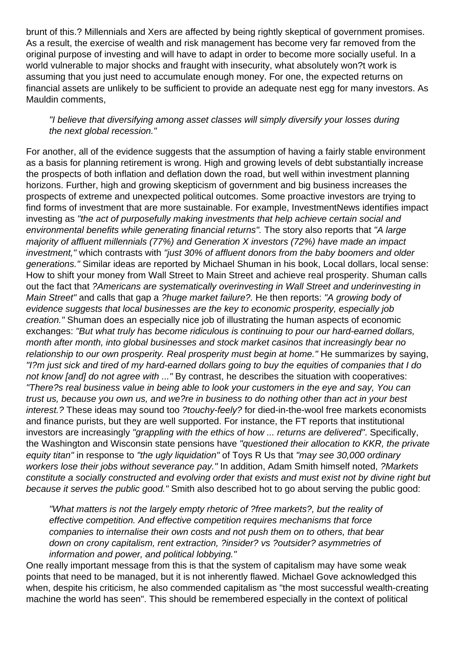brunt of this.? Millennials and Xers are affected by being rightly skeptical of government promises. As a result, the exercise of wealth and risk management has become very far removed from the original purpose of investing and will have to adapt in order to become more socially useful. In a world vulnerable to major shocks and fraught with insecurity, what absolutely won?t work is assuming that you just need to accumulate enough money. For one, the expected returns on financial assets are unlikely to be sufficient to provide an adequate nest egg for many investors. As Mauldin comments,

## "I believe that diversifying among asset classes will simply diversify your losses during the next global recession."

For another, all of the evidence suggests that the assumption of having a fairly stable environment as a basis for planning retirement is wrong. High and growing levels of debt substantially increase the prospects of both inflation and deflation down the road, but well within investment planning horizons. Further, high and growing skepticism of government and big business increases the prospects of extreme and unexpected political outcomes. Some proactive investors are trying to find forms of investment that are more sustainable. For example, InvestmentNews identifies impact investing as "the act of purposefully making investments that help achieve certain social and environmental benefits while generating financial returns". The story also reports that "A large majority of affluent millennials (77%) and Generation X investors (72%) have made an impact investment," which contrasts with "just 30% of affluent donors from the baby boomers and older generations." Similar ideas are reported by Michael Shuman in his book, Local dollars, local sense: How to shift your money from Wall Street to Main Street and achieve real prosperity. Shuman calls out the fact that ?Americans are systematically overinvesting in Wall Street and underinvesting in Main Street" and calls that gap a ?huge market failure?. He then reports: "A growing body of evidence suggests that local businesses are the key to economic prosperity, especially job creation." Shuman does an especially nice job of illustrating the human aspects of economic exchanges: "But what truly has become ridiculous is continuing to pour our hard-earned dollars, month after month, into global businesses and stock market casinos that increasingly bear no relationship to our own prosperity. Real prosperity must begin at home." He summarizes by saying, "I?m just sick and tired of my hard-earned dollars going to buy the equities of companies that I do not know [and] do not agree with ..." By contrast, he describes the situation with cooperatives: "There?s real business value in being able to look your customers in the eye and say, You can trust us, because you own us, and we?re in business to do nothing other than act in your best interest.? These ideas may sound too ?touchy-feely? for died-in-the-wool free markets economists and finance purists, but they are well supported. For instance, the FT reports that institutional investors are increasingly "grappling with the ethics of how ... returns are delivered". Specifically, the Washington and Wisconsin state pensions have "questioned their allocation to KKR, the private equity titan" in response to "the ugly liquidation" of Toys R Us that "may see 30,000 ordinary workers lose their jobs without severance pay." In addition, Adam Smith himself noted, ?Markets constitute a socially constructed and evolving order that exists and must exist not by divine right but because it serves the public good." Smith also described hot to go about serving the public good:

"What matters is not the largely empty rhetoric of ?free markets?, but the reality of effective competition. And effective competition requires mechanisms that force companies to internalise their own costs and not push them on to others, that bear down on crony capitalism, rent extraction, ?insider? vs ?outsider? asymmetries of information and power, and political lobbying."

One really important message from this is that the system of capitalism may have some weak points that need to be managed, but it is not inherently flawed. Michael Gove acknowledged this when, despite his criticism, he also commended capitalism as "the most successful wealth-creating machine the world has seen". This should be remembered especially in the context of political